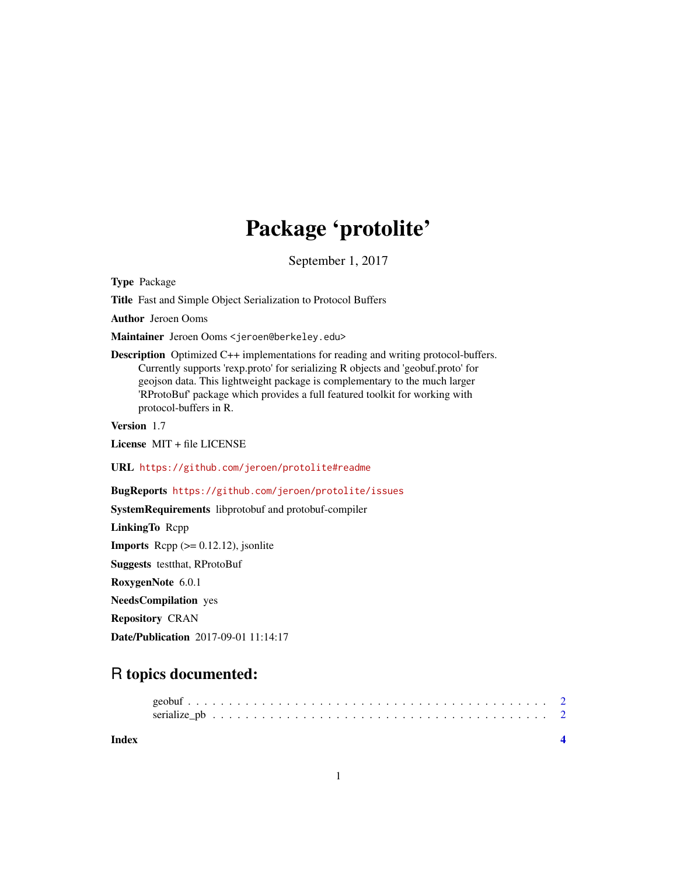## Package 'protolite'

September 1, 2017

<span id="page-0-0"></span>Type Package

Title Fast and Simple Object Serialization to Protocol Buffers

Author Jeroen Ooms

Maintainer Jeroen Ooms <jeroen@berkeley.edu>

Description Optimized C++ implementations for reading and writing protocol-buffers. Currently supports 'rexp.proto' for serializing R objects and 'geobuf.proto' for geojson data. This lightweight package is complementary to the much larger 'RProtoBuf' package which provides a full featured toolkit for working with protocol-buffers in R.

Version 1.7

License MIT + file LICENSE

URL <https://github.com/jeroen/protolite#readme>

BugReports <https://github.com/jeroen/protolite/issues>

SystemRequirements libprotobuf and protobuf-compiler

LinkingTo Rcpp

**Imports** Rcpp  $(>= 0.12.12)$ , jsonlite

Suggests testthat, RProtoBuf

RoxygenNote 6.0.1

NeedsCompilation yes

Repository CRAN

Date/Publication 2017-09-01 11:14:17

### R topics documented:

**Index** [4](#page-3-0)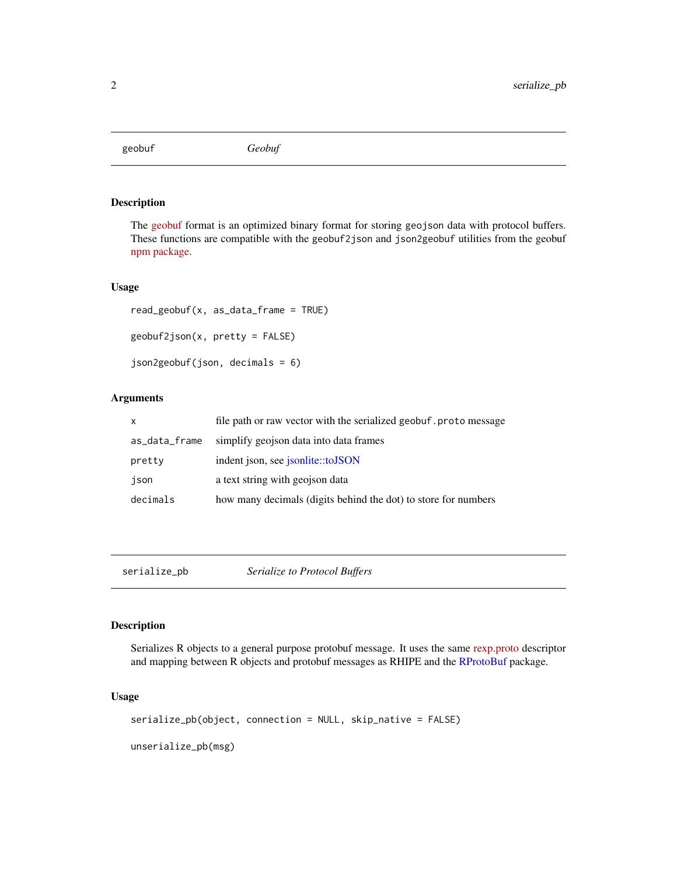<span id="page-1-0"></span>geobuf *Geobuf*

#### Description

The [geobuf](https://github.com/mapbox/geobuf) format is an optimized binary format for storing geojson data with protocol buffers. These functions are compatible with the geobuf2json and json2geobuf utilities from the geobuf [npm package.](https://www.npmjs.com/package/geobuf)

#### Usage

```
read_geobuf(x, as_data_frame = TRUE)
geobuf2json(x, pretty = FALSE)
json2geobuf(json, decimals = 6)
```
#### Arguments

| x             | file path or raw vector with the serialized geobuf. proto message |
|---------------|-------------------------------------------------------------------|
| as_data_frame | simplify geojson data into data frames                            |
| pretty        | indent json, see jsonlite::toJSON                                 |
| json          | a text string with geojson data                                   |
| decimals      | how many decimals (digits behind the dot) to store for numbers    |

serialize\_pb *Serialize to Protocol Buffers*

#### Description

Serializes R objects to a general purpose protobuf message. It uses the same [rexp.proto](https://github.com/jeroen/protolite/blob/master/src/rexp.proto) descriptor and mapping between R objects and protobuf messages as RHIPE and the [RProtoBuf](#page-0-0) package.

#### Usage

```
serialize_pb(object, connection = NULL, skip_native = FALSE)
unserialize_pb(msg)
```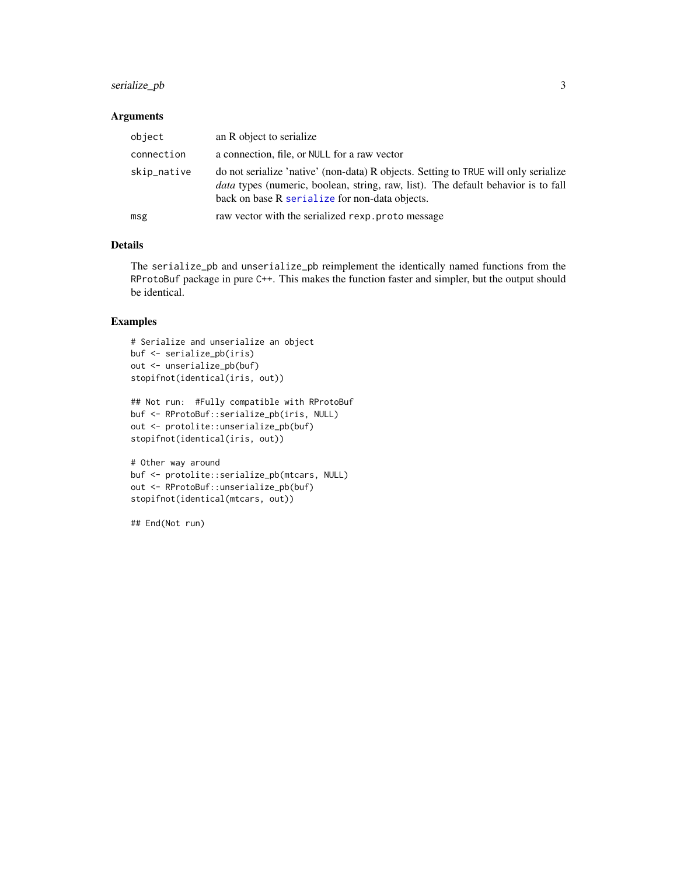#### <span id="page-2-0"></span>serialize\_pb 3

#### Arguments

| object      | an R object to serialize                                                                                                                                                                                                          |
|-------------|-----------------------------------------------------------------------------------------------------------------------------------------------------------------------------------------------------------------------------------|
| connection  | a connection, file, or NULL for a raw vector                                                                                                                                                                                      |
| skip_native | do not serialize 'native' (non-data) R objects. Setting to TRUE will only serialize<br><i>data</i> types (numeric, boolean, string, raw, list). The default behavior is to fall<br>back on base R serialize for non-data objects. |
| msg         | raw vector with the serialized rexp. proto message                                                                                                                                                                                |

#### Details

The serialize\_pb and unserialize\_pb reimplement the identically named functions from the RProtoBuf package in pure C++. This makes the function faster and simpler, but the output should be identical.

#### Examples

```
# Serialize and unserialize an object
buf <- serialize_pb(iris)
out <- unserialize_pb(buf)
stopifnot(identical(iris, out))
```

```
## Not run: #Fully compatible with RProtoBuf
buf <- RProtoBuf::serialize_pb(iris, NULL)
out <- protolite::unserialize_pb(buf)
stopifnot(identical(iris, out))
```

```
# Other way around
buf <- protolite::serialize_pb(mtcars, NULL)
out <- RProtoBuf::unserialize_pb(buf)
stopifnot(identical(mtcars, out))
```
## End(Not run)